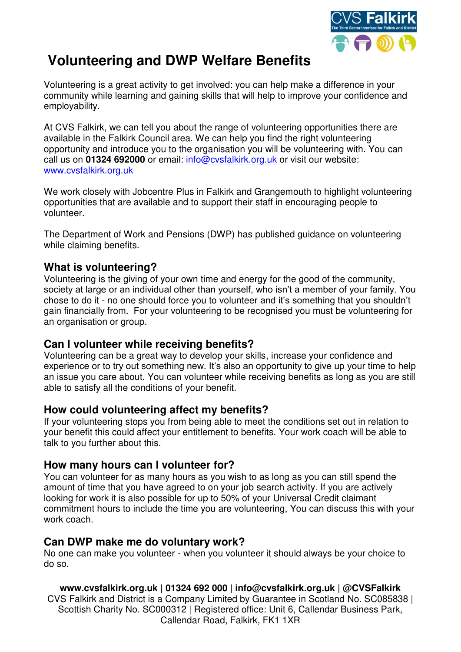

# **Volunteering and DWP Welfare Benefits**

Volunteering is a great activity to get involved: you can help make a difference in your community while learning and gaining skills that will help to improve your confidence and employability.

At CVS Falkirk, we can tell you about the range of volunteering opportunities there are available in the Falkirk Council area. We can help you find the right volunteering opportunity and introduce you to the organisation you will be volunteering with. You can call us on **01324 692000** or email: [info@cvsfalkirk.org.uk](mailto:info@cvsfalkirk.org.uk) or visit our website: [www.cvsfalkirk.org.uk](http://www.cvsfalkirk.org.uk/) 

We work closely with Jobcentre Plus in Falkirk and Grangemouth to highlight volunteering opportunities that are available and to support their staff in encouraging people to volunteer.

The Department of Work and Pensions (DWP) has published guidance on volunteering while claiming benefits.

## **What is volunteering?**

Volunteering is the giving of your own time and energy for the good of the community, society at large or an individual other than yourself, who isn't a member of your family. You chose to do it - no one should force you to volunteer and it's something that you shouldn't gain financially from. For your volunteering to be recognised you must be volunteering for an organisation or group.

## **Can I volunteer while receiving benefits?**

Volunteering can be a great way to develop your skills, increase your confidence and experience or to try out something new. It's also an opportunity to give up your time to help an issue you care about. You can volunteer while receiving benefits as long as you are still able to satisfy all the conditions of your benefit.

## **How could volunteering affect my benefits?**

If your volunteering stops you from being able to meet the conditions set out in relation to your benefit this could affect your entitlement to benefits. Your work coach will be able to talk to you further about this.

## **How many hours can I volunteer for?**

You can volunteer for as many hours as you wish to as long as you can still spend the amount of time that you have agreed to on your job search activity. If you are actively looking for work it is also possible for up to 50% of your Universal Credit claimant commitment hours to include the time you are volunteering, You can discuss this with your work coach.

## **Can DWP make me do voluntary work?**

No one can make you volunteer - when you volunteer it should always be your choice to do so.

**www.cvsfalkirk.org.uk | 01324 692 000 | info@cvsfalkirk.org.uk | @CVSFalkirk**  CVS Falkirk and District is a Company Limited by Guarantee in Scotland No. SC085838 | Scottish Charity No. SC000312 | Registered office: Unit 6, Callendar Business Park, Callendar Road, Falkirk, FK1 1XR